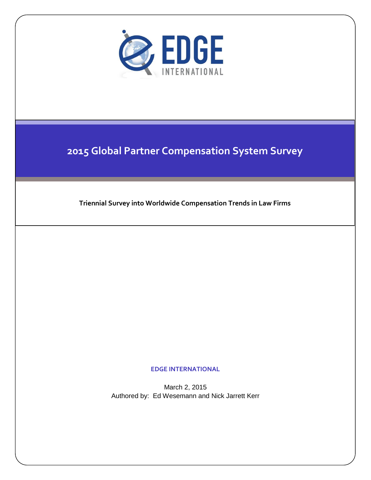

## **2015 Global Partner Compensation System Survey**

**Triennial Survey into Worldwide Compensation Trends in Law Firms**

**EDGE INTERNATIONAL**

March 2, 2015 Authored by: Ed Wesemann and Nick Jarrett Kerr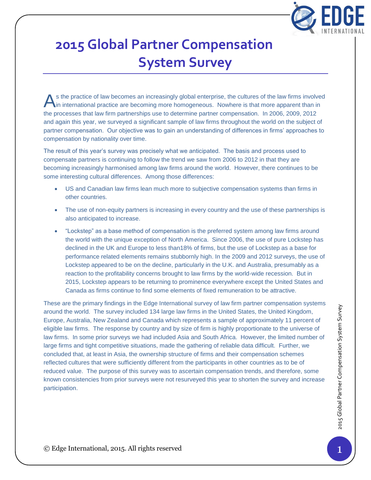

# **2015 Global Partner Compensation System Survey**

s the practice of law becomes an increasingly global enterprise, the cultures of the law firms involved in international practice are becoming more homogeneous. Nowhere is that more apparent than in the processes that law firm partnerships use to determine partner compensation. In 2006, 2009, 2012 and again this year, we surveyed a significant sample of law firms throughout the world on the subject of partner compensation. Our objective was to gain an understanding of differences in firms' approaches to compensation by nationality over time. A

The result of this year's survey was precisely what we anticipated. The basis and process used to compensate partners is continuing to follow the trend we saw from 2006 to 2012 in that they are becoming increasingly harmonised among law firms around the world. However, there continues to be some interesting cultural differences. Among those differences:

- US and Canadian law firms lean much more to subjective compensation systems than firms in other countries.
- The use of non-equity partners is increasing in every country and the use of these partnerships is also anticipated to increase.
- "Lockstep" as a base method of compensation is the preferred system among law firms around the world with the unique exception of North America. Since 2006, the use of pure Lockstep has declined in the UK and Europe to less than18% of firms, but the use of Lockstep as a base for performance related elements remains stubbornly high. In the 2009 and 2012 surveys, the use of Lockstep appeared to be on the decline, particularly in the U.K. and Australia, presumably as a reaction to the profitability concerns brought to law firms by the world-wide recession. But in 2015, Lockstep appears to be returning to prominence everywhere except the United States and Canada as firms continue to find some elements of fixed remuneration to be attractive.

The anti-mational, and the survey included 134 large law firms in the United States, the United States and the World. The survey included 134 large law firms in the United States, the United States (and Survey and by size These are the primary findings in the Edge International survey of law firm partner compensation systems around the world. The survey included 134 large law firms in the United States, the United Kingdom, Europe, Australia, New Zealand and Canada which represents a sample of approximately 11 percent of eligible law firms. The response by country and by size of firm is highly proportionate to the universe of law firms. In some prior surveys we had included Asia and South Africa. However, the limited number of large firms and tight competitive situations, made the gathering of reliable data difficult. Further, we concluded that, at least in Asia, the ownership structure of firms and their compensation schemes reflected cultures that were sufficiently different from the participants in other countries as to be of reduced value. The purpose of this survey was to ascertain compensation trends, and therefore, some known consistencies from prior surveys were not resurveyed this year to shorten the survey and increase participation.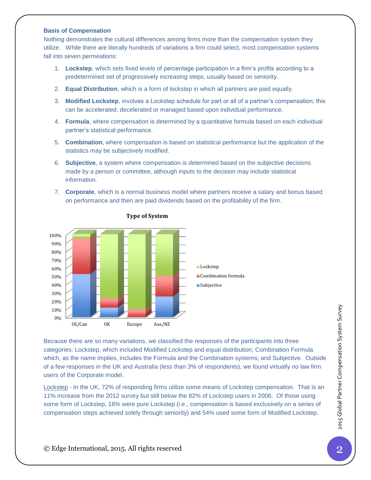#### **Basis of Compensation**

Nothing demonstrates the cultural differences among firms more than the compensation system they utilize. While there are literally hundreds of variations a firm could select, most compensation systems fall into seven permeations:

- 1. **Lockstep**, which sets fixed levels of percentage participation in a firm's profits according to a predetermined set of progressively increasing steps, usually based on seniority.
- 2. **Equal Distribution**, which is a form of lockstep in which all partners are paid equally.
- 3. **Modified Lockstep**, involves a Lockstep schedule for part or all of a partner's compensation; this can be accelerated, decelerated or managed based upon individual performance.
- 4. **Formula**, where compensation is determined by a quantitative formula based on each individual partner's statistical performance.
- 5. **Combination**, where compensation is based on statistical performance but the application of the statistics may be subjectively modified.
- 6. **Subjective**, a system where compensation is determined based on the subjective decisions made by a person or committee, although inputs to the decision may include statistical information.
- 7. **Corporate**, which is a normal business model where partners receive a salary and bonus based on performance and then are paid dividends based on the profitability of the firm.



#### **Type of System**

Examete the resonancy variations, we classified the responses of the participants into three exametering the categories: Lockstep, which included Modified Lockstep and equal distribution; Combination Formula Section As the Because there are so many variations, we classified the responses of the participants into three categories: Lockstep, which included Modified Lockstep and equal distribution; Combination Formula which, as the name implies, includes the Formula and the Combination systems; and Subjective. Outside of a few responses in the UK and Australia (less than 3% of respondents), we found virtually no law firm users of the Corporate model.

Lockstep - In the UK, 72% of responding firms utilize some means of Lockstep compensation. That is an 11% increase from the 2012 survey but still below the 82% of Lockstep users in 2006. Of those using some form of Lockstep, 18% were pure Lockstep (i.e., compensation is based exclusively on a series of compensation steps achieved solely through seniority) and 54% used some form of Modified Lockstep.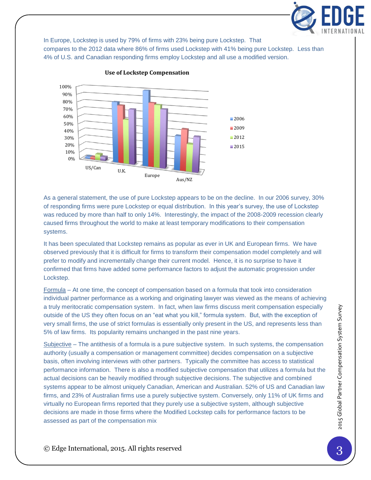

In Europe, Lockstep is used by 79% of firms with 23% being pure Lockstep. That

compares to the 2012 data where 86% of firms used Lockstep with 41% being pure Lockstep. Less than 4% of U.S. and Canadian responding firms employ Lockstep and all use a modified version.



#### **Use of Lockstep Compensation**

As a general statement, the use of pure Lockstep appears to be on the decline. In our 2006 survey, 30% of responding firms were pure Lockstep or equal distribution. In this year's survey, the use of Lockstep was reduced by more than half to only 14%. Interestingly, the impact of the 2008-2009 recession clearly caused firms throughout the world to make at least temporary modifications to their compensation systems.

It has been speculated that Lockstep remains as popular as ever in UK and European firms. We have observed previously that it is difficult for firms to transform their compensation model completely and will prefer to modify and incrementally change their current model. Hence, it is no surprise to have it confirmed that firms have added some performance factors to adjust the automatic progression under Lockstep.

Formula – At one time, the concept of compensation based on a formula that took into consideration individual partner performance as a working and originating lawyer was viewed as the means of achieving a truly meritocratic compensation system. In fact, when law firms discuss merit compensation especially outside of the US they often focus on an "eat what you kill," formula system. But, with the exception of very small firms, the use of strict formulas is essentially only present in the US, and represents less than 5% of law firms. Its popularity remains unchanged in the past nine years.

a truly meritocratic compensation system. In fact, when law firms discuss merit compensation especially<br>outside of the US they often focus on an "eat what you kill," formula system. But, with the exception of<br>servery small Subjective – The antithesis of a formula is a pure subjective system. In such systems, the compensation authority (usually a compensation or management committee) decides compensation on a subjective basis, often involving interviews with other partners. Typically the committee has access to statistical performance information. There is also a modified subjective compensation that utilizes a formula but the actual decisions can be heavily modified through subjective decisions. The subjective and combined systems appear to be almost uniquely Canadian, American and Australian. 52% of US and Canadian law firms, and 23% of Australian firms use a purely subjective system. Conversely, only 11% of UK firms and virtually no European firms reported that they purely use a subjective system, although subjective decisions are made in those firms where the Modified Lockstep calls for performance factors to be assessed as part of the compensation mix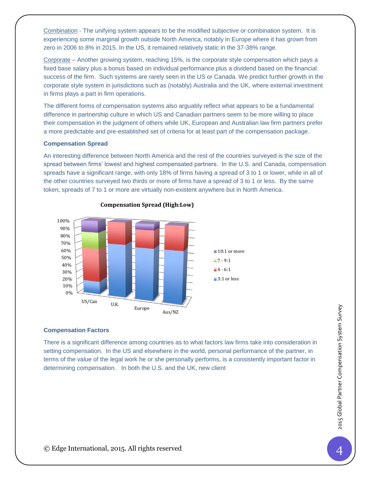Combination - The unifying system appears to be the modified subjective or combination system. It is experiencing some marginal growth outside North America, notably in Europe where it has grown from zero in 2006 to 8% in 2015. In the US, it remained relatively static in the 37-38% range.

Corporate – Another growing system, reaching 15%, is the corporate style compensation which pays a fixed base salary plus a bonus based on individual performance plus a dividend based on the financial success of the firm. Such systems are rarely seen in the US or Canada. We predict further growth in the corporate style system in jurisdictions such as (notably) Australia and the UK, where external investment in firms plays a part in firm operations.

The different forms of compensation systems also arguably reflect what appears to be a fundamental difference in partnership culture in which US and Canadian partners seem to be more willing to place their compensation in the judgment of others while UK, European and Australian law firm partners prefer a more predictable and pre-established set of criteria for at least part of the compensation package.

#### **Compensation Spread**

An interesting difference between North America and the rest of the countries surveyed is the size of the spread between firms' lowest and highest compensated partners. In the U.S. and Canada, compensation spreads have a significant range, with only 18% of firms having a spread of 3 to 1 or lower, while in all of the other countries surveyed two thirds or more of firms have a spread of 3 to 1 or less. By the same token, spreads of 7 to 1 or more are virtually non-existent anywhere but in North America.



#### **Compensation Spread (High:Low)**

#### **Compensation Factors**

Compensation Factors<br>
There is a significant difference among countries as to what factors law firms take into consideration in the<br>
setting compensation. In the US and elsewhere in the world, personal performance of the There is a significant difference among countries as to what factors law firms take into consideration in setting compensation. In the US and elsewhere in the world, personal performance of the partner, in terms of the value of the legal work he or she personally performs, is a consistently important factor in determining compensation. In both the U.S. and the UK, new client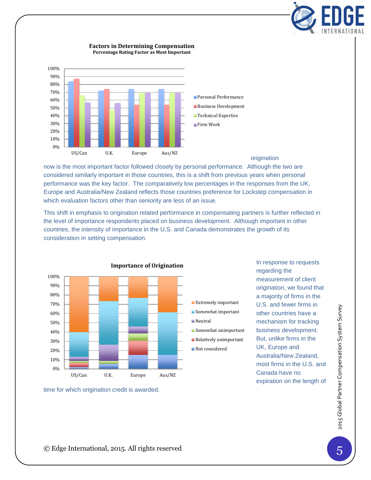

#### **Factors in Determining Compensation Percentage Rating Factor as Most Important**



#### origination

now is the most important factor followed closely by personal performance. Although the two are considered similarly important in those countries, this is a shift from previous years when personal performance was the key factor. The comparatively low percentages in the responses from the UK, Europe and Australia/New Zealand reflects those countries preference for Lockstep compensation in which evaluation factors other than seniority are less of an issue.

This shift in emphasis to origination related performance in compensating partners is further reflected in the level of importance respondents placed on business development. Although important in other countries, the intensity of importance in the U.S. and Canada demonstrates the growth of its consideration in setting compensation.



In response to requests regarding the measurement of client origination, we found that a majority of firms in the U.S. and fewer firms in other countries have a mechanism for tracking business development. But, unlike firms in the UK, Europe and Australia/New Zealand, most firms in the U.S. and Canada have no expiration on the length of

time for which origination credit is awarded.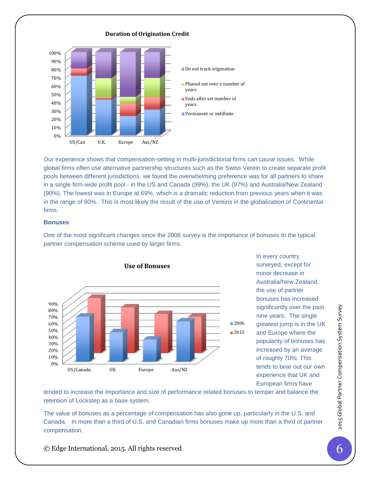

Our experience shows that compensation-setting in multi-jurisdictional firms can cause issues. While global firms often use alternative partnership structures such as the Swiss Verein to create separate profit pools between different jurisdictions, we found the overwhelming preference was for all partners to share in a single firm-wide profit pool - in the US and Canada (99%), the UK (97%) and Australia/New Zealand (90%). The lowest was in Europe at 69%, which is a dramatic reduction from previous years when it was in the range of 80%. This is most likely the result of the use of Vereins in the globalization of Continental firms.

#### **Bonuses**

One of the most significant changes since the 2006 survey is the importance of bonuses to the typical partner compensation scheme used by larger firms.



In every country surveyed, except for minor decrease in Australia/New Zealand, the use of partner bonuses has increased significantly over the past nine years. The single greatest jump is in the UK and Europe where the popularity of bonuses has increased by an average of roughly 70%. This tends to bear out our own experience that UK and European firms have

tended to increase the importance and size of performance related bonuses to temper and balance the retention of Lockstep as a base system.

The value of bonuses as a percentage of compensation has also gone up, particularly in the U.S. and Canada. In more than a third of U.S. and Canadian firms bonuses make up more than a third of partner compensation.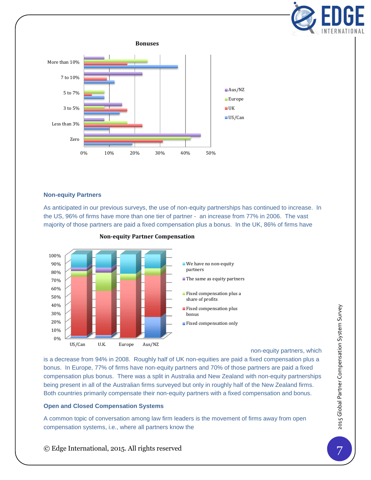



#### **Non-equity Partners**

As anticipated in our previous surveys, the use of non-equity partnerships has continued to increase. In the US, 96% of firms have more than one tier of partner - an increase from 77% in 2006. The vast majority of those partners are paid a fixed compensation plus a bonus. In the UK, 86% of firms have



### **Non-equity Partner Compensation**

non-equity partners, which

© Edge International, 2015. All rights reserved <sup>7</sup>2015 Global Partner Compensation System Survey is a decrease from 94% in 2008. Roughly half of UK non-equities are paid a fixed compensation plus a bonus. In Europe, 77% of firms have non-equity partners and 70% of those partners are paid a fixed compensation plus bonus. There was a split in Australia and New Zealand with non-equity partnerships being present in all of the Australian firms surveyed but only in roughly half of the New Zealand firms. Both countries primarily compensate their non-equity partners with a fixed compensation and bonus.

#### **Open and Closed Compensation Systems**

A common topic of conversation among law firm leaders is the movement of firms away from open compensation systems, i.e., where all partners know the